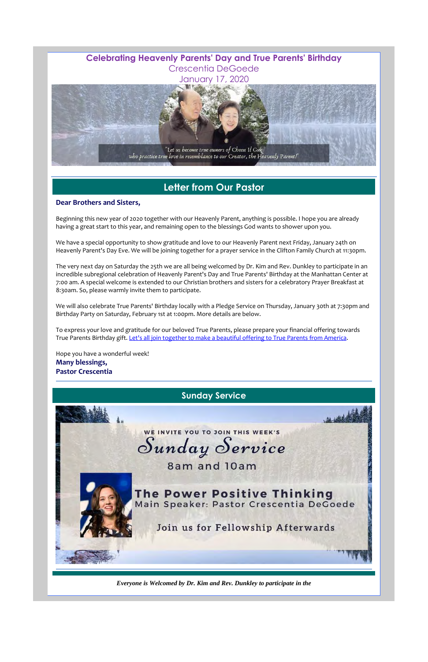

## **Letter from Our Pastor**

#### **Dear Brothers and Sisters,**

Beginning this new year of 2020 together with our Heavenly Parent, anything is possible. I hope you are already having a great start to this year, and remaining open to the blessings God wants to shower upon you.

We have a special opportunity to show gratitude and love to our Heavenly Parent next Friday, January 24th on Heavenly Parent's Day Eve. We will be joining together for a prayer service in the Clifton Family Church at 11:30pm.

To express your love and gratitude for our beloved True Parents, please prepare your financial offering towards True Parents Birthday gift. Let's all join together to make a beautiful offering to True Parents from America.

The very next day on Saturday the 25th we are all being welcomed by Dr. Kim and Rev. Dunkley to participate in an incredible subregional celebration of Heavenly Parent's Day and True Parents' Birthday at the Manhattan Center at 7:00 am. A special welcome is extended to our Christian brothers and sisters for a celebratory Prayer Breakfast at 8:30am. So, please warmly invite them to participate.

We will also celebrate True Parents' Birthday locally with a Pledge Service on Thursday, January 30th at 7:30pm and Birthday Party on Saturday, February 1st at 1:00pm. More details are below.

Hope you have a wonderful week! **Many blessings, Pastor Crescentia**

*Everyone is Welcomed by Dr. Kim and Rev. Dunkley to participate in the*



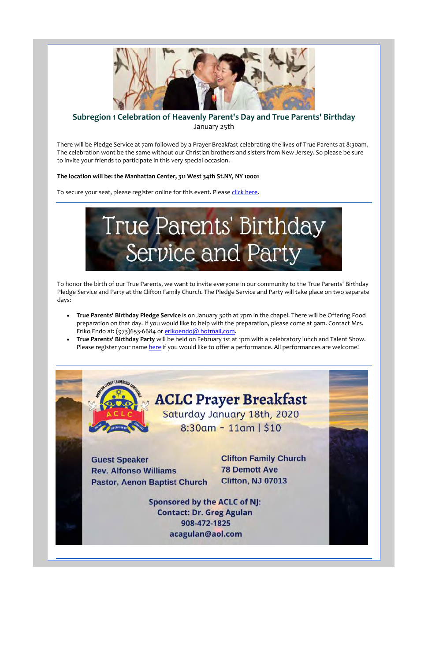

#### **Subregion 1 Celebration of Heavenly Parent's Day and True Parents' Birthday** January 25th

There will be Pledge Service at 7am followed by a Prayer Breakfast celebrating the lives of True Parents at 8:30am. The celebration wont be the same without our Christian brothers and sisters from New Jersey. So please be sure to invite your friends to participate in this very special occasion.

- **True Parents' Birthday Pledge Service** is on January 30th at 7pm in the chapel. There will be Offering Food preparation on that day. If you would like to help with the preparation, please come at 9am. Contact Mrs. Eriko Endo at: (973)653-6684 or erikoendo@ hotmail,com.
- **True Parents' Birthday Party** will be held on February 1st at 1pm with a celebratory lunch and Talent Show. Please register your name here if you would like to offer a performance. All performances are welcome!

#### **The location will be: the Manhattan Center, 311 West 34th St.NY, NY 10001**

To secure your seat, please register online for this event. Please *click here*.

To honor the birth of our True Parents, we want to invite everyone in our community to the True Parents' Birthday Pledge Service and Party at the Clifton Family Church. The Pledge Service and Party will take place on two separate days:





Sponsored by the ACLC of NJ: Contact: Dr. Greg Agulan 908-472-1825 acagulan@aol.com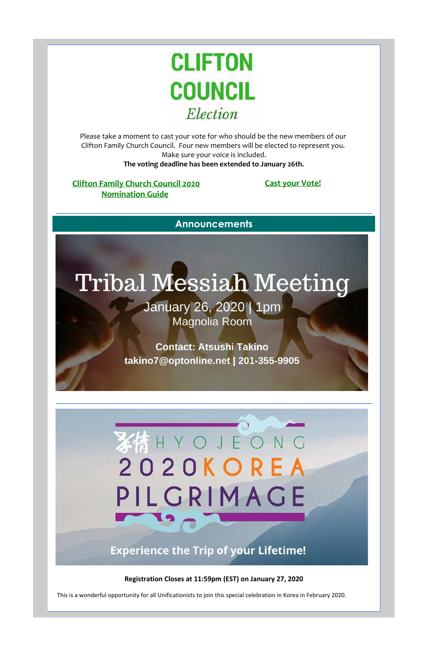Please take a moment to cast your vote for who should be the new members of our Clifton Family Church Council. Four new members will be elected to represent you. Make sure your voice is included. **The voting deadline has been extended to January 26th.**

#### **Clifton Family Church Council 2020 Nomination Guide**

January 26, 2020 | 1pm Magnolia Room

**Cast your Vote!**

**Announcements**

# H Y O J E O N G **2020 KO E**

#### **Registration Closes at 11:59pm (EST) on January 27, 2020**

This is a wonderful opportunity for all Unificationists to join this special celebration in Korea in February 2020.



## Tribal Messiah Meeting

**Contact: Atsushi Takino takino7@optonline.net** I **201-355-9905** 



## **Experience the Trip of your Lifetime!**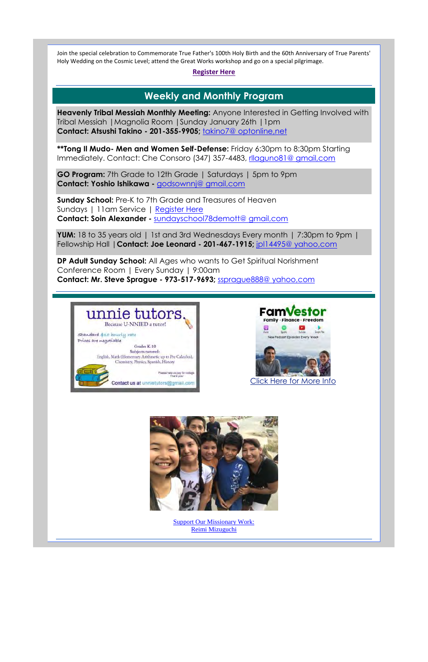Join the special celebration to Commemorate True Father's 100th Holy Birth and the 60th Anniversary of True Parents' Holy Wedding on the Cosmic Level; attend the Great Works workshop and go on a special pilgrimage.

#### **Register Here**

### **Weekly and Monthly Program**

**Heavenly Tribal Messiah Monthly Meeting:** Anyone Interested in Getting Involved with Tribal Messiah |Magnolia Room |Sunday January 26th |1pm **Contact: Atsushi Takino - 201-355-9905;** takino7@ optonline,net

**\*\*Tong Il Mudo- Men and Women Self-Defense:** Friday 6:30pm to 8:30pm Starting Immediately. Contact: Che Consoro (347) 357-4483, rllaguno81@ gmail,com

**GO Program:** 7th Grade to 12th Grade | Saturdays | 5pm to 9pm **Contact: Yoshio Ishikawa -** godsownnj@ gmail,com

**Sunday School:** Pre-K to 7th Grade and Treasures of Heaven Sundays | 11am Service | Register Here **Contact: Soin Alexander -** sundayschool78demott@ gmail,com

**YUM:** 18 to 35 years old | 1st and 3rd Wednesdays Every month | 7:30pm to 9pm | Fellowship Hall |**Contact: Joe Leonard - 201-467-1915;** jpl14495@ yahoo,com

**DP Adult Sunday School:** All Ages who wants to Get Spiritual Norishment Conference Room | Every Sunday | 9:00am **Contact: Mr. Steve Sprague - 973-517-9693;** ssprague888@ yahoo,com

> Support Our Missionary Work: Reimi Mizuguchi